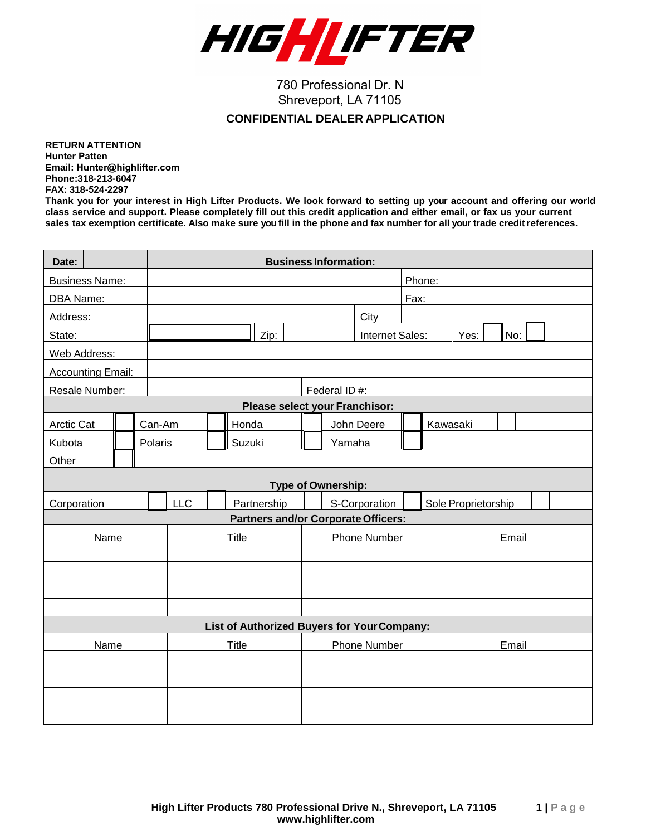

780 Professional Dr. N Shreveport, LA 71105

## **CONFIDENTIAL DEALER APPLICATION**

**RETURN ATTENTION Hunter Patten Email: [Hunter@highlifter.com](mailto:phil@highlifter.com) Phone:318-213-6047 FAX: 318-524-2297**

**Thank you for your interest in High Lifter Products. We look forward to setting up your account and offering our world class service and support. Please completely fill out this credit application and either email, or fax us your current**  sales tax exemption certificate. Also make sure you fill in the phone and fax number for all your trade credit references.

| Date:                                       |      |  |  | <b>Business Information:</b> |  |  |       |                                |              |              |                     |                                            |       |        |          |  |  |  |  |  |
|---------------------------------------------|------|--|--|------------------------------|--|--|-------|--------------------------------|--------------|--------------|---------------------|--------------------------------------------|-------|--------|----------|--|--|--|--|--|
| <b>Business Name:</b>                       |      |  |  |                              |  |  |       |                                |              |              |                     |                                            |       | Phone: |          |  |  |  |  |  |
| DBA Name:                                   |      |  |  |                              |  |  |       |                                |              |              |                     |                                            | Fax:  |        |          |  |  |  |  |  |
| Address:                                    |      |  |  |                              |  |  |       |                                |              |              |                     | City                                       |       |        |          |  |  |  |  |  |
| State:                                      |      |  |  | Zip:                         |  |  |       | No:<br>Internet Sales:<br>Yes: |              |              |                     |                                            |       |        |          |  |  |  |  |  |
| Web Address:                                |      |  |  |                              |  |  |       |                                |              |              |                     |                                            |       |        |          |  |  |  |  |  |
| <b>Accounting Email:</b>                    |      |  |  |                              |  |  |       |                                |              |              |                     |                                            |       |        |          |  |  |  |  |  |
| Resale Number:                              |      |  |  |                              |  |  |       |                                |              | Federal ID#: |                     |                                            |       |        |          |  |  |  |  |  |
|                                             |      |  |  |                              |  |  |       |                                |              |              |                     | Please select your Franchisor:             |       |        |          |  |  |  |  |  |
| <b>Arctic Cat</b>                           |      |  |  | Can-Am                       |  |  | Honda |                                |              | John Deere   |                     |                                            |       |        | Kawasaki |  |  |  |  |  |
| Kubota                                      |      |  |  | Polaris<br>Suzuki            |  |  |       | Yamaha                         |              |              |                     |                                            |       |        |          |  |  |  |  |  |
| Other                                       |      |  |  |                              |  |  |       |                                |              |              |                     |                                            |       |        |          |  |  |  |  |  |
| <b>Type of Ownership:</b>                   |      |  |  |                              |  |  |       |                                |              |              |                     |                                            |       |        |          |  |  |  |  |  |
| Corporation                                 |      |  |  | <b>LLC</b><br>Partnership    |  |  |       | S-Corporation                  |              |              | Sole Proprietorship |                                            |       |        |          |  |  |  |  |  |
|                                             |      |  |  |                              |  |  |       |                                |              |              |                     | <b>Partners and/or Corporate Officers:</b> |       |        |          |  |  |  |  |  |
|                                             | Name |  |  | Title                        |  |  |       |                                | Phone Number |              |                     |                                            |       | Email  |          |  |  |  |  |  |
|                                             |      |  |  |                              |  |  |       |                                |              |              |                     |                                            |       |        |          |  |  |  |  |  |
|                                             |      |  |  |                              |  |  |       |                                |              |              |                     |                                            |       |        |          |  |  |  |  |  |
|                                             |      |  |  |                              |  |  |       |                                |              |              |                     |                                            |       |        |          |  |  |  |  |  |
|                                             |      |  |  |                              |  |  |       |                                |              |              |                     |                                            |       |        |          |  |  |  |  |  |
| List of Authorized Buyers for Your Company: |      |  |  |                              |  |  |       |                                |              |              |                     |                                            |       |        |          |  |  |  |  |  |
| Name                                        |      |  |  | Title                        |  |  |       |                                | Phone Number |              |                     |                                            | Email |        |          |  |  |  |  |  |
|                                             |      |  |  |                              |  |  |       |                                |              |              |                     |                                            |       |        |          |  |  |  |  |  |
|                                             |      |  |  |                              |  |  |       |                                |              |              |                     |                                            |       |        |          |  |  |  |  |  |
|                                             |      |  |  |                              |  |  |       |                                |              |              |                     |                                            |       |        |          |  |  |  |  |  |
|                                             |      |  |  |                              |  |  |       |                                |              |              |                     |                                            |       |        |          |  |  |  |  |  |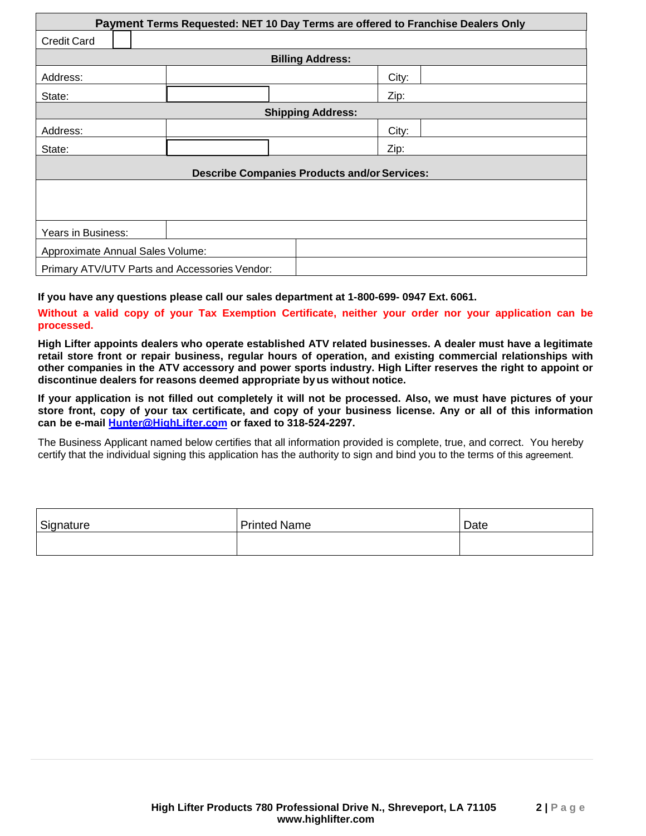| Payment Terms Requested: NET 10 Day Terms are offered to Franchise Dealers Only |                                                     |  |  |       |  |  |  |  |  |  |
|---------------------------------------------------------------------------------|-----------------------------------------------------|--|--|-------|--|--|--|--|--|--|
| <b>Credit Card</b>                                                              |                                                     |  |  |       |  |  |  |  |  |  |
| <b>Billing Address:</b>                                                         |                                                     |  |  |       |  |  |  |  |  |  |
| Address:                                                                        |                                                     |  |  | City: |  |  |  |  |  |  |
| State:                                                                          |                                                     |  |  | Zip:  |  |  |  |  |  |  |
|                                                                                 | <b>Shipping Address:</b>                            |  |  |       |  |  |  |  |  |  |
| Address:                                                                        |                                                     |  |  | City: |  |  |  |  |  |  |
| State:                                                                          |                                                     |  |  | Zip:  |  |  |  |  |  |  |
|                                                                                 | <b>Describe Companies Products and/or Services:</b> |  |  |       |  |  |  |  |  |  |
|                                                                                 |                                                     |  |  |       |  |  |  |  |  |  |
|                                                                                 |                                                     |  |  |       |  |  |  |  |  |  |
| Years in Business:                                                              |                                                     |  |  |       |  |  |  |  |  |  |
| Approximate Annual Sales Volume:                                                |                                                     |  |  |       |  |  |  |  |  |  |
| Primary ATV/UTV Parts and Accessories Vendor:                                   |                                                     |  |  |       |  |  |  |  |  |  |

**If you have any questions please call our sales department at 1-800-699- 0947 Ext. 6061.**

**Without a valid copy of your Tax Exemption Certificate, neither your order nor your application can be processed.**

**High Lifter appoints dealers who operate established ATV related businesses. A dealer must have a legitimate retail store front or repair business, regular hours of operation, and existing commercial relationships with other companies in the ATV accessory and power sports industry. High Lifter reserves the right to appoint or discontinue dealers for reasons deemed appropriate byus without notice.**

**If your application is not filled out completely it will not be processed. Also, we must have pictures of your**  store front, copy of your tax certificate, and copy of your business license. Any or all of this information **can be e-mail Hunter@Hi[ghLifter.com](mailto:Hunter@HighLifter.com) or faxed to 318-524-2297.**

The Business Applicant named below certifies that all information provided is complete, true, and correct. You hereby certify that the individual signing this application has the authority to sign and bind you to the terms of this agreement.

| Signature | <b>Printed Name</b> | Date |
|-----------|---------------------|------|
|           |                     |      |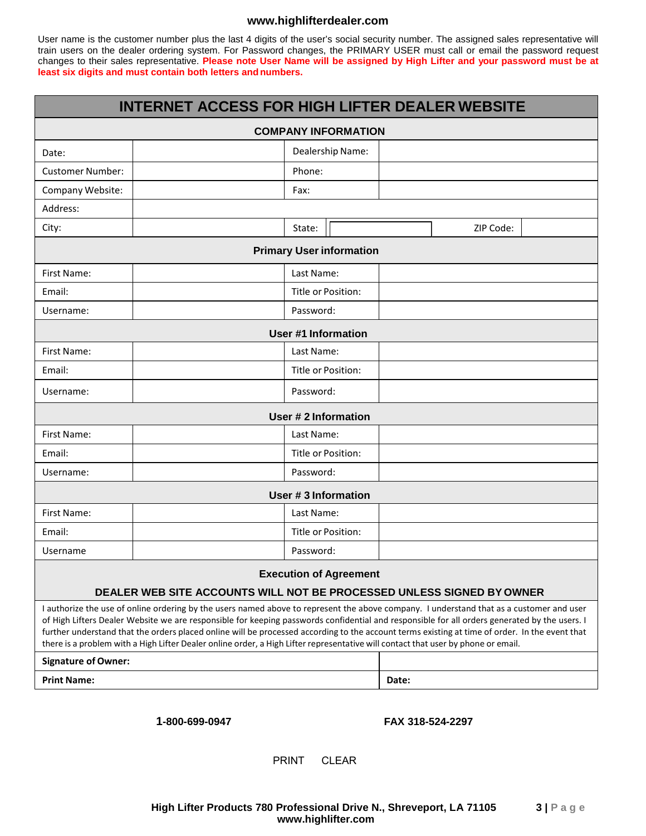## **[www.highlifterdealer.com](http://www.highlifterdealer.com/)**

User name is the customer number plus the last 4 digits of the user's social security number. The assigned sales representative will train users on the dealer ordering system. For Password changes, the PRIMARY USER must call or email the password request changes to their sales representative. **Please note User Name will be assigned by High Lifter and your password must be at least six digits and must contain both letters andnumbers.**

|                                                                                                                                                                                                                                                                                                                                                                                                                                                                                                                                                                                  |  |                            |       |           | <b>INTERNET ACCESS FOR HIGH LIFTER DEALER WEBSITE</b> |  |  |  |  |  |  |  |  |
|----------------------------------------------------------------------------------------------------------------------------------------------------------------------------------------------------------------------------------------------------------------------------------------------------------------------------------------------------------------------------------------------------------------------------------------------------------------------------------------------------------------------------------------------------------------------------------|--|----------------------------|-------|-----------|-------------------------------------------------------|--|--|--|--|--|--|--|--|
| <b>COMPANY INFORMATION</b>                                                                                                                                                                                                                                                                                                                                                                                                                                                                                                                                                       |  |                            |       |           |                                                       |  |  |  |  |  |  |  |  |
| Date:                                                                                                                                                                                                                                                                                                                                                                                                                                                                                                                                                                            |  | Dealership Name:           |       |           |                                                       |  |  |  |  |  |  |  |  |
| <b>Customer Number:</b>                                                                                                                                                                                                                                                                                                                                                                                                                                                                                                                                                          |  | Phone:                     |       |           |                                                       |  |  |  |  |  |  |  |  |
| Company Website:                                                                                                                                                                                                                                                                                                                                                                                                                                                                                                                                                                 |  | Fax:                       |       |           |                                                       |  |  |  |  |  |  |  |  |
| Address:                                                                                                                                                                                                                                                                                                                                                                                                                                                                                                                                                                         |  |                            |       |           |                                                       |  |  |  |  |  |  |  |  |
| City:                                                                                                                                                                                                                                                                                                                                                                                                                                                                                                                                                                            |  | State:                     |       | ZIP Code: |                                                       |  |  |  |  |  |  |  |  |
| <b>Primary User information</b>                                                                                                                                                                                                                                                                                                                                                                                                                                                                                                                                                  |  |                            |       |           |                                                       |  |  |  |  |  |  |  |  |
| First Name:                                                                                                                                                                                                                                                                                                                                                                                                                                                                                                                                                                      |  | Last Name:                 |       |           |                                                       |  |  |  |  |  |  |  |  |
| Email:                                                                                                                                                                                                                                                                                                                                                                                                                                                                                                                                                                           |  | Title or Position:         |       |           |                                                       |  |  |  |  |  |  |  |  |
| Username:                                                                                                                                                                                                                                                                                                                                                                                                                                                                                                                                                                        |  | Password:                  |       |           |                                                       |  |  |  |  |  |  |  |  |
|                                                                                                                                                                                                                                                                                                                                                                                                                                                                                                                                                                                  |  | <b>User #1 Information</b> |       |           |                                                       |  |  |  |  |  |  |  |  |
| First Name:                                                                                                                                                                                                                                                                                                                                                                                                                                                                                                                                                                      |  | Last Name:                 |       |           |                                                       |  |  |  |  |  |  |  |  |
| Email:                                                                                                                                                                                                                                                                                                                                                                                                                                                                                                                                                                           |  | Title or Position:         |       |           |                                                       |  |  |  |  |  |  |  |  |
| Username:                                                                                                                                                                                                                                                                                                                                                                                                                                                                                                                                                                        |  | Password:                  |       |           |                                                       |  |  |  |  |  |  |  |  |
|                                                                                                                                                                                                                                                                                                                                                                                                                                                                                                                                                                                  |  | <b>User #2 Information</b> |       |           |                                                       |  |  |  |  |  |  |  |  |
| <b>First Name:</b>                                                                                                                                                                                                                                                                                                                                                                                                                                                                                                                                                               |  | Last Name:                 |       |           |                                                       |  |  |  |  |  |  |  |  |
| Email:                                                                                                                                                                                                                                                                                                                                                                                                                                                                                                                                                                           |  | Title or Position:         |       |           |                                                       |  |  |  |  |  |  |  |  |
| Username:                                                                                                                                                                                                                                                                                                                                                                                                                                                                                                                                                                        |  | Password:                  |       |           |                                                       |  |  |  |  |  |  |  |  |
|                                                                                                                                                                                                                                                                                                                                                                                                                                                                                                                                                                                  |  | User #3 Information        |       |           |                                                       |  |  |  |  |  |  |  |  |
| First Name:                                                                                                                                                                                                                                                                                                                                                                                                                                                                                                                                                                      |  | Last Name:                 |       |           |                                                       |  |  |  |  |  |  |  |  |
| Email:                                                                                                                                                                                                                                                                                                                                                                                                                                                                                                                                                                           |  | Title or Position:         |       |           |                                                       |  |  |  |  |  |  |  |  |
| Username                                                                                                                                                                                                                                                                                                                                                                                                                                                                                                                                                                         |  | Password:                  |       |           |                                                       |  |  |  |  |  |  |  |  |
| <b>Execution of Agreement</b>                                                                                                                                                                                                                                                                                                                                                                                                                                                                                                                                                    |  |                            |       |           |                                                       |  |  |  |  |  |  |  |  |
| DEALER WEB SITE ACCOUNTS WILL NOT BE PROCESSED UNLESS SIGNED BY OWNER                                                                                                                                                                                                                                                                                                                                                                                                                                                                                                            |  |                            |       |           |                                                       |  |  |  |  |  |  |  |  |
| I authorize the use of online ordering by the users named above to represent the above company. I understand that as a customer and user<br>of High Lifters Dealer Website we are responsible for keeping passwords confidential and responsible for all orders generated by the users. I<br>further understand that the orders placed online will be processed according to the account terms existing at time of order. In the event that<br>there is a problem with a High Lifter Dealer online order, a High Lifter representative will contact that user by phone or email. |  |                            |       |           |                                                       |  |  |  |  |  |  |  |  |
| <b>Signature of Owner:</b>                                                                                                                                                                                                                                                                                                                                                                                                                                                                                                                                                       |  |                            |       |           |                                                       |  |  |  |  |  |  |  |  |
| <b>Print Name:</b>                                                                                                                                                                                                                                                                                                                                                                                                                                                                                                                                                               |  |                            | Date: |           |                                                       |  |  |  |  |  |  |  |  |

**1-800-699-0947 FAX 318-524-2297** 

PRINT CLEAR